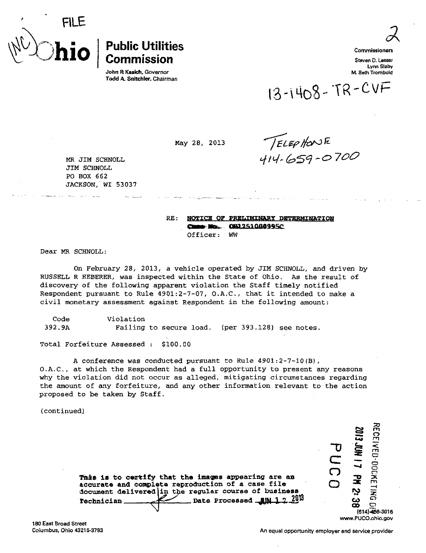

## $\mathbf{hio} \mid \mathsf{c}_{\mathsf{ommission}}$

John R Kasich. Governor Todd A. Snitchler, Chairman Commissioners

 $\epsilon$ 

Steven D. Lesser Lynn Slaby M. Beth Trombold

 $13 - 1408 - TR-CVF$ 

May 28, 2013

 $TEEPH0V1E$ <br>414-659-0700

MR JIM SCHNOLL JIM SCHNOLL PO BOX 662 JACKSON, WI 53037

> RE: NOTICE OF PRELIMINARY DETERMINATION **E Mo. 010251000995C** Officer: WW

Dear MR SCHNOLL:

On February 28, 2013, a vehicle operated by JIM SCHNOLL, and driven by RUSSELL R HEBERER, was inspected within the State of Ohio. As the result of discovery of the following apparent violation the Staff timely notified Respondent pursuant to Rule 4901:2-7-07, O.A.C., that it intended to make a civil monetary assessment against Respondent in the following amount:

Code 392.9A Violation Failing to secure load. (per 393.128) see notes.

Total Forfeiture Assessed : \$100.00

A conference was conducted pursuant to Rule 4901:2-7-10(3), O.A.C., at which the Respondent had a full opportunity to present any reasons why the violation did not occur as alleged, mitigating circumstances regarding the amount of any forfeiture, and any other information relevant to the action proposed to be taken by Staff.

(continued)

| This is to certify that the images appearing are an<br>accurate and complete reproduction of a case file<br>document delivered in the regular course of business |  | m |
|------------------------------------------------------------------------------------------------------------------------------------------------------------------|--|---|
| Date Processed $_{\text{HIN 1.2.2013}}$                                                                                                                          |  |   |
| Technician                                                                                                                                                       |  |   |

180 East Broad Street Columbus, Ohio 43215-3793

 $\widetilde{\mathsf{c}}$  $\Xi$ er<br>Film C2 O .<br>ح

**SIDS** 

C5 466-3016

[www.PUCO.ohic.gov](http://www.PUCO.ohic.gov)